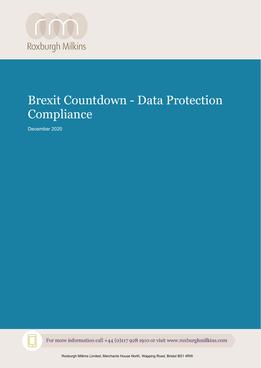

# Brexit Countdown - Data Protection Compliance

December 2020



For more information call +44 (0)117 928 1910 or visit www.roxburghmilkins.com

Roxburgh Milkins Limited, Merchants House North, Wapping Road, Bristol BS1 4RW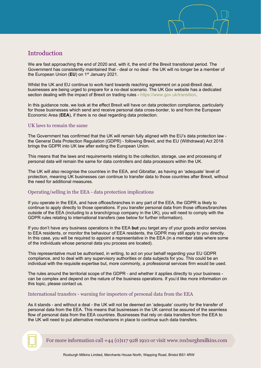

# Introduction

We are fast approaching the end of 2020 and, with it, the end of the Brexit transitional period. The Government has consistently maintained that - deal or no deal - the UK will no longer be a member of the European Union (**EU**) on 1st January 2021.

Whilst the UK and EU continue to work hard towards reaching agreement on a post-Brexit deal, businesses are being urged to prepare for a no-deal scenario. The UK Gov website has a dedicated section dealing with the impact of Brexit on trading rules - [https://www.gov.uk/transition.](https://www.gov.uk/transition)

In this guidance note, we look at the effect Brexit will have on data protection compliance, particularly for those businesses which send and receive personal data cross-border, to and from the European Economic Area (**EEA**), if there is no deal regarding data protection.

#### UK laws to remain the same

The Government has confirmed that the UK will remain fully aligned with the EU's data protection law the General Data Protection Regulation (GDPR) - following Brexit, and the EU (Withdrawal) Act 2018 brings the GDPR into UK law after exiting the European Union.

This means that the laws and requirements relating to the collection, storage, use and processing of personal data will remain the same for data controllers and data processors within the UK.

The UK will also recognise the countries in the EEA, and Gibraltar, as having an 'adequate' level of protection, meaning UK businesses can continue to transfer data to those countries after Brexit, without the need for additional measures.

## Operating/selling in the EEA - data protection implications

If you operate in the EEA, and have offices/branches in any part of the EEA, the GDPR is likely to continue to apply directly to those operations. If you transfer personal data from those offices/branches outside of the EEA (including to a branch/group company in the UK), you will need to comply with the GDPR rules relating to international transfers (see below for further information).

If you don't have any business operations in the EEA **but** you target any of your goods and/or services to EEA residents, or monitor the behaviour of EEA residents, the GDPR may still apply to you directly. In this case, you will be required to appoint a representative in the EEA (in a member state where some of the individuals whose personal data you process are located).

This representative must be authorised, in writing, to act on your behalf regarding your EU GDPR compliance, and to deal with any supervisory authorities or data subjects for you. This could be an individual with the requisite expertise but, more commonly, a professional services firm would be used.

The rules around the territorial scope of the GDPR - and whether it applies directly to your business can be complex and depend on the nature of the business operations. If you'd like more information on this topic, please contact us.

## International transfers - warning for importers of personal data from the EEA

As it stands - and without a deal - the UK will not be deemed an 'adequate' country for the transfer of personal data from the EEA. This means that businesses in the UK cannot be assured of the seamless flow of personal data from the EEA countries. Businesses that rely on data transfers from the EEA to the UK will need to put alternative mechanisms in place to continue such data transfers.

For more information call  $+44$  (0)117 928 1910 or visit www.roxburghmilkins.com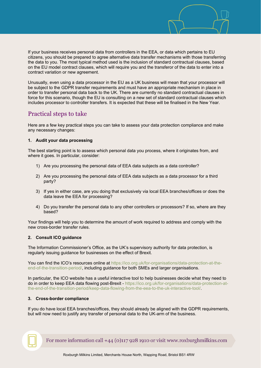If your business receives personal data from controllers in the EEA, or data which pertains to EU citizens, you should be prepared to agree alternative data transfer mechanisms with those transferring the data to you. The most typical method used is the inclusion of standard contractual clauses, based on the EU model contract clauses, which will require you and the transferor of the data to enter into a contract variation or new agreement.

Unusually, even using a data processor in the EU as a UK business will mean that your processor will be subject to the GDPR transfer requirements and must have an appropriate mechanism in place in order to transfer personal data back to the UK. There are currently no standard contractual clauses in force for this scenario, though the EU is consulting on a new set of standard contractual clauses which includes processor to controller transfers. It is expected that these will be finalised in the New Year.

## Practical steps to take

Here are a few key practical steps you can take to assess your data protection compliance and make any necessary changes:

#### **1. Audit your data processing**

The best starting point is to assess which personal data you process, where it originates from, and where it goes. In particular, consider:

- 1) Are you processing the personal data of EEA data subjects as a data controller?
- 2) Are you processing the personal data of EEA data subjects as a data processor for a third party?
- 3) If yes in either case, are you doing that exclusively via local EEA branches/offices or does the data leave the EEA for processing?
- 4) Do you transfer the personal data to any other controllers or processors? If so, where are they based?

Your findings will help you to determine the amount of work required to address and comply with the new cross-border transfer rules.

## **2. Consult ICO guidance**

The Information Commissioner's Office, as the UK's supervisory authority for data protection, is regularly issuing guidance for businesses on the effect of Brexit.

You can find the ICO's resources online at [https://ico.org.uk/for-organisations/data-protection-at-the](https://ico.org.uk/for-organisations/data-protection-at-the-end-of-the-transition-period/)[end-of-the-transition-period/,](https://ico.org.uk/for-organisations/data-protection-at-the-end-of-the-transition-period/) including guidance for both SMEs and larger organisations.

In particular, the ICO website has a useful interactive tool to help businesses decide what they need to do in order to keep EEA data flowing post-Brexit - [https://ico.org.uk/for-organisations/data-protection-at](https://ico.org.uk/for-organisations/data-protection-at-the-end-of-the-transition-period/keep-data-flowing-from-the-eea-to-the-uk-interactive-tool/)[the-end-of-the-transition-period/keep-data-flowing-from-the-eea-to-the-uk-interactive-tool/.](https://ico.org.uk/for-organisations/data-protection-at-the-end-of-the-transition-period/keep-data-flowing-from-the-eea-to-the-uk-interactive-tool/)

## **3. Cross-border compliance**

If you do have local EEA branches/offices, they should already be aligned with the GDPR requirements, but will now need to justify any transfer of personal data to the UK-arm of the business.

For more information call  $+44$  (0)117 928 1910 or visit www.roxburghmilkins.com